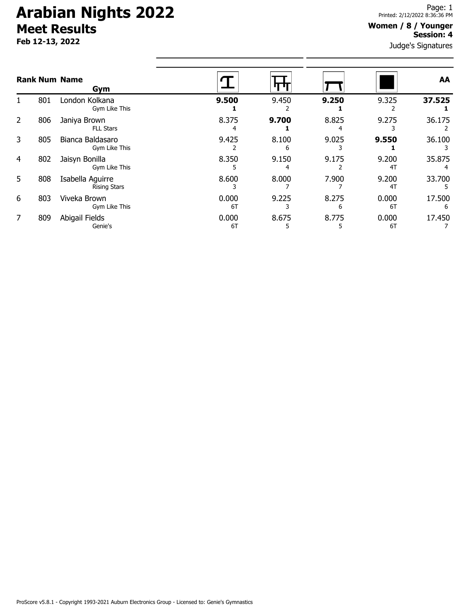# **Arabian Nights 2022 Meet Results**

**Feb 12-13, 2022**

### **Women / 8 / Younger Session: 4**

Judge's Signatures

|    |     | <b>Rank Num Name</b><br>Gym             |             |            |            |             | AA          |
|----|-----|-----------------------------------------|-------------|------------|------------|-------------|-------------|
|    | 801 | London Kolkana<br>Gym Like This         | 9.500       | 9.450      | 9.250      | 9.325       | 37.525      |
| 2  | 806 | Janiya Brown<br><b>FLL Stars</b>        | 8.375       | 9.700      | 8.825      | 9.275       | 36.175      |
| 3  | 805 | Bianca Baldasaro<br>Gym Like This       | 9.425       | 8.100<br>6 | 9.025      | 9.550       | 36.100      |
| 4  | 802 | Jaisyn Bonilla<br>Gym Like This         | 8.350       | 9.150      | 9.175      | 9.200<br>4T | 35.875      |
| 5. | 808 | Isabella Aguirre<br><b>Rising Stars</b> | 8.600       | 8.000      | 7.900      | 9.200<br>4T | 33.700      |
| 6  | 803 | Viveka Brown<br>Gym Like This           | 0.000<br>6T | 9.225      | 8.275<br>6 | 0.000<br>6T | 17.500<br>6 |
|    | 809 | Abigail Fields<br>Genie's               | 0.000<br>6T | 8.675      | 8.775      | 0.000<br>6T | 17.450      |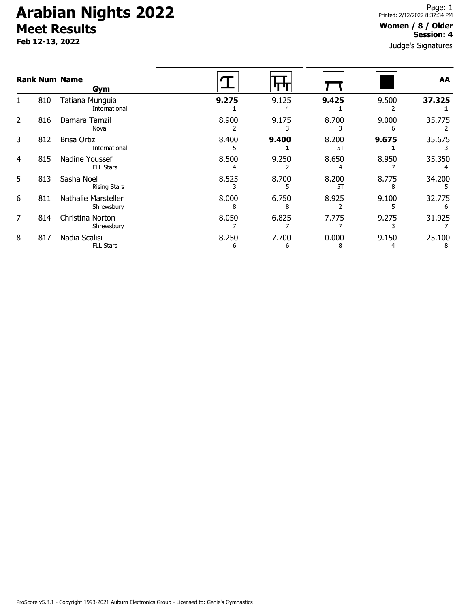# **Arabian Nights 2022 Meet Results**

**Feb 12-13, 2022**

### **Women / 8 / Older Session: 4**

Judge's Signatures

| <b>Rank Num Name</b><br>Gym |     |                                     |            |            |             |            | AA          |
|-----------------------------|-----|-------------------------------------|------------|------------|-------------|------------|-------------|
| 1.                          | 810 | Tatiana Munguia<br>International    | 9.275      | 9.125<br>4 | 9.425       | 9.500      | 37.325      |
| 2                           | 816 | Damara Tamzil<br>Nova               | 8.900      | 9.175      | 8.700       | 9.000<br>6 | 35.775      |
| 3                           | 812 | <b>Brisa Ortiz</b><br>International | 8.400      | 9.400      | 8.200<br>5T | 9.675      | 35.675      |
| 4                           | 815 | Nadine Youssef<br><b>FLL Stars</b>  | 8.500      | 9.250      | 8.650       | 8.950      | 35.350      |
| 5                           | 813 | Sasha Noel<br><b>Rising Stars</b>   | 8.525      | 8.700      | 8.200<br>5T | 8.775      | 34.200      |
| 6                           | 811 | Nathalie Marsteller<br>Shrewsbury   | 8.000      | 6.750      | 8.925       | 9.100      | 32.775      |
| 7                           | 814 | Christina Norton<br>Shrewsbury      | 8.050      | 6.825      | 7.775       | 9.275      | 31.925      |
| 8                           | 817 | Nadia Scalisi<br><b>FLL Stars</b>   | 8.250<br>6 | 7.700<br>6 | 0.000<br>8  | 9.150      | 25.100<br>8 |